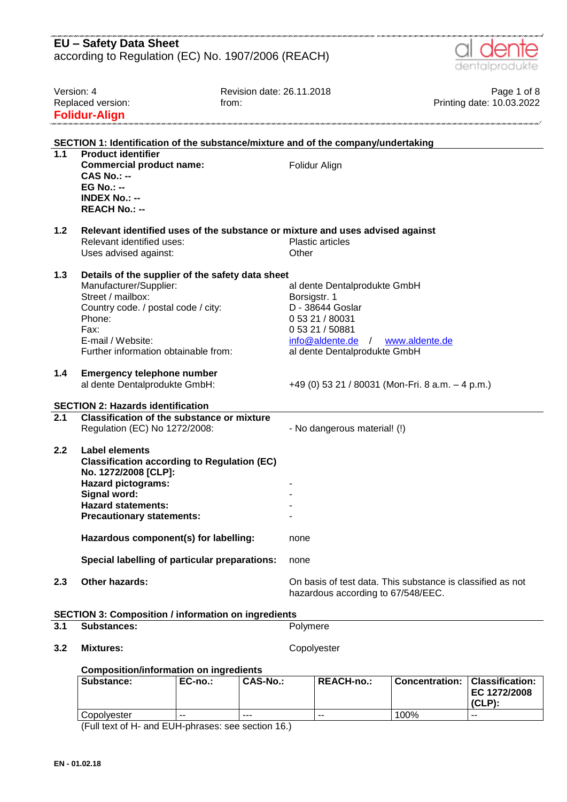|                  | <b>EU - Safety Data Sheet</b>                                                                 |                                                                                   |                                                            |
|------------------|-----------------------------------------------------------------------------------------------|-----------------------------------------------------------------------------------|------------------------------------------------------------|
|                  | according to Regulation (EC) No. 1907/2006 (REACH)                                            |                                                                                   |                                                            |
|                  |                                                                                               |                                                                                   | dentalprodukte                                             |
|                  |                                                                                               |                                                                                   |                                                            |
|                  | Version: 4                                                                                    | Revision date: 26.11.2018                                                         | Page 1 of 8                                                |
|                  | Replaced version:                                                                             | from:                                                                             | Printing date: 10.03.2022                                  |
|                  | <b>Folidur-Align</b>                                                                          |                                                                                   |                                                            |
|                  |                                                                                               |                                                                                   |                                                            |
|                  |                                                                                               | SECTION 1: Identification of the substance/mixture and of the company/undertaking |                                                            |
| 1.1              | <b>Product identifier</b>                                                                     |                                                                                   |                                                            |
|                  | <b>Commercial product name:</b>                                                               | Folidur Align                                                                     |                                                            |
|                  | $CAS No.: -$<br>$EG No.: -$                                                                   |                                                                                   |                                                            |
|                  | <b>INDEX No.: --</b>                                                                          |                                                                                   |                                                            |
|                  | <b>REACH No.: --</b>                                                                          |                                                                                   |                                                            |
|                  |                                                                                               |                                                                                   |                                                            |
| 1.2              |                                                                                               | Relevant identified uses of the substance or mixture and uses advised against     |                                                            |
|                  | Relevant identified uses:                                                                     | <b>Plastic articles</b>                                                           |                                                            |
|                  | Uses advised against:                                                                         | Other                                                                             |                                                            |
| 1.3              | Details of the supplier of the safety data sheet                                              |                                                                                   |                                                            |
|                  | Manufacturer/Supplier:                                                                        | al dente Dentalprodukte GmbH                                                      |                                                            |
|                  | Street / mailbox:                                                                             | Borsigstr. 1                                                                      |                                                            |
|                  | Country code. / postal code / city:                                                           | D - 38644 Goslar                                                                  |                                                            |
|                  | Phone:                                                                                        | 0 53 21 / 80031                                                                   |                                                            |
|                  | Fax:                                                                                          | 0 53 21 / 50881                                                                   |                                                            |
|                  | E-mail / Website:<br>Further information obtainable from:                                     | $info@aldente.de$ /                                                               | www.aldente.de                                             |
|                  |                                                                                               | al dente Dentalprodukte GmbH                                                      |                                                            |
| 1.4              | <b>Emergency telephone number</b>                                                             |                                                                                   |                                                            |
|                  | al dente Dentalprodukte GmbH:                                                                 | +49 (0) 53 21 / 80031 (Mon-Fri. 8 a.m. - 4 p.m.)                                  |                                                            |
|                  |                                                                                               |                                                                                   |                                                            |
| $\overline{2.1}$ | <b>SECTION 2: Hazards identification</b><br><b>Classification of the substance or mixture</b> |                                                                                   |                                                            |
|                  | Regulation (EC) No 1272/2008:                                                                 | - No dangerous material! (!)                                                      |                                                            |
|                  |                                                                                               |                                                                                   |                                                            |
| 2.2              | Label elements                                                                                |                                                                                   |                                                            |
|                  | <b>Classification according to Regulation (EC)</b>                                            |                                                                                   |                                                            |
|                  | No. 1272/2008 [CLP]:                                                                          |                                                                                   |                                                            |
|                  | <b>Hazard pictograms:</b>                                                                     |                                                                                   |                                                            |
|                  | Signal word:<br><b>Hazard statements:</b>                                                     |                                                                                   |                                                            |
|                  | <b>Precautionary statements:</b>                                                              |                                                                                   |                                                            |
|                  |                                                                                               |                                                                                   |                                                            |
|                  | Hazardous component(s) for labelling:                                                         | none                                                                              |                                                            |
|                  | Special labelling of particular preparations:                                                 | none                                                                              |                                                            |
|                  |                                                                                               |                                                                                   |                                                            |
| 2.3              | Other hazards:                                                                                | hazardous according to 67/548/EEC.                                                | On basis of test data. This substance is classified as not |
|                  | <b>SECTION 3: Composition / information on ingredients</b>                                    |                                                                                   |                                                            |
| 3.1              | <b>Substances:</b>                                                                            | Polymere                                                                          |                                                            |
|                  |                                                                                               |                                                                                   |                                                            |
| 3.2              | <b>Mixtures:</b>                                                                              | Copolyester                                                                       |                                                            |
|                  | <b>Composition/information on ingredients</b>                                                 |                                                                                   |                                                            |
|                  |                                                                                               |                                                                                   |                                                            |

| Substance:  | EC-no.: | CAS-No.: | <b>REACH-no.:</b> | <b>Concentration:</b> | Classification:<br>EC 1272/2008<br>(CLP) |
|-------------|---------|----------|-------------------|-----------------------|------------------------------------------|
| Copolvester | $- -$   | ---      | --                | 100%                  | --                                       |

(Full text of H- and EUH-phrases: see section 16.)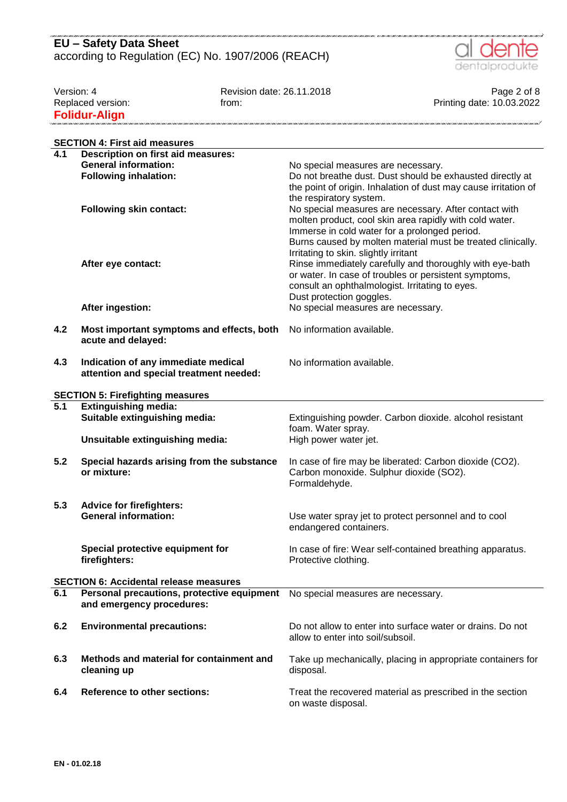

.<br>2001 - 2002 - 2002 - 2002 - 2002 - 2002 - 2002 - 2002 - 2002 - 2002 - 2002 - 200

Version: 4 Page 2 of 8<br>Revision date: 26.11.2018 Page 2 of 8<br>Printing date: 10.03.2022<br>Printing date: 10.03.2022 from: From: Friend Version: Friend Version: Friend Version: Printing date: 10.03.2022 **Folidur-Align** n<br>San 1 mai 1 mai 1 mai 1 mai 1 mai 1 mai 1 mai 1 mai 1 mai 1 mai 1 mai 1 mai 1 mai 1 mili 

|     | <b>SECTION 4: First aid measures</b>                                           |                                                                                                                                                                                                                                           |  |  |  |  |  |
|-----|--------------------------------------------------------------------------------|-------------------------------------------------------------------------------------------------------------------------------------------------------------------------------------------------------------------------------------------|--|--|--|--|--|
| 4.1 | <b>Description on first aid measures:</b>                                      |                                                                                                                                                                                                                                           |  |  |  |  |  |
|     | <b>General information:</b>                                                    | No special measures are necessary.                                                                                                                                                                                                        |  |  |  |  |  |
|     | <b>Following inhalation:</b>                                                   | Do not breathe dust. Dust should be exhausted directly at<br>the point of origin. Inhalation of dust may cause irritation of<br>the respiratory system.                                                                                   |  |  |  |  |  |
|     | <b>Following skin contact:</b>                                                 | No special measures are necessary. After contact with<br>molten product, cool skin area rapidly with cold water.<br>Immerse in cold water for a prolonged period.<br>Burns caused by molten material must be treated clinically.          |  |  |  |  |  |
|     | After eye contact:                                                             | Irritating to skin. slightly irritant<br>Rinse immediately carefully and thoroughly with eye-bath<br>or water. In case of troubles or persistent symptoms,<br>consult an ophthalmologist. Irritating to eyes.<br>Dust protection goggles. |  |  |  |  |  |
|     | After ingestion:                                                               | No special measures are necessary.                                                                                                                                                                                                        |  |  |  |  |  |
| 4.2 | Most important symptoms and effects, both<br>acute and delayed:                | No information available.                                                                                                                                                                                                                 |  |  |  |  |  |
| 4.3 | Indication of any immediate medical<br>attention and special treatment needed: | No information available.                                                                                                                                                                                                                 |  |  |  |  |  |
|     | <b>SECTION 5: Firefighting measures</b>                                        |                                                                                                                                                                                                                                           |  |  |  |  |  |
| 5.1 | <b>Extinguishing media:</b>                                                    |                                                                                                                                                                                                                                           |  |  |  |  |  |
|     | Suitable extinguishing media:                                                  | Extinguishing powder. Carbon dioxide. alcohol resistant                                                                                                                                                                                   |  |  |  |  |  |
|     | Unsuitable extinguishing media:                                                | foam. Water spray.<br>High power water jet.                                                                                                                                                                                               |  |  |  |  |  |
| 5.2 | Special hazards arising from the substance<br>or mixture:                      | In case of fire may be liberated: Carbon dioxide (CO2).<br>Carbon monoxide. Sulphur dioxide (SO2).<br>Formaldehyde.                                                                                                                       |  |  |  |  |  |
| 5.3 | <b>Advice for firefighters:</b>                                                |                                                                                                                                                                                                                                           |  |  |  |  |  |
|     | <b>General information:</b>                                                    | Use water spray jet to protect personnel and to cool<br>endangered containers.                                                                                                                                                            |  |  |  |  |  |
|     | Special protective equipment for<br>firefighters:                              | In case of fire: Wear self-contained breathing apparatus.<br>Protective clothing.                                                                                                                                                         |  |  |  |  |  |
|     | <b>SECTION 6: Accidental release measures</b>                                  |                                                                                                                                                                                                                                           |  |  |  |  |  |
| 6.1 | Personal precautions, protective equipment<br>and emergency procedures:        | No special measures are necessary.                                                                                                                                                                                                        |  |  |  |  |  |
| 6.2 | <b>Environmental precautions:</b>                                              | Do not allow to enter into surface water or drains. Do not<br>allow to enter into soil/subsoil.                                                                                                                                           |  |  |  |  |  |
| 6.3 | Methods and material for containment and<br>cleaning up                        | Take up mechanically, placing in appropriate containers for<br>disposal.                                                                                                                                                                  |  |  |  |  |  |
| 6.4 | <b>Reference to other sections:</b>                                            | Treat the recovered material as prescribed in the section<br>on waste disposal.                                                                                                                                                           |  |  |  |  |  |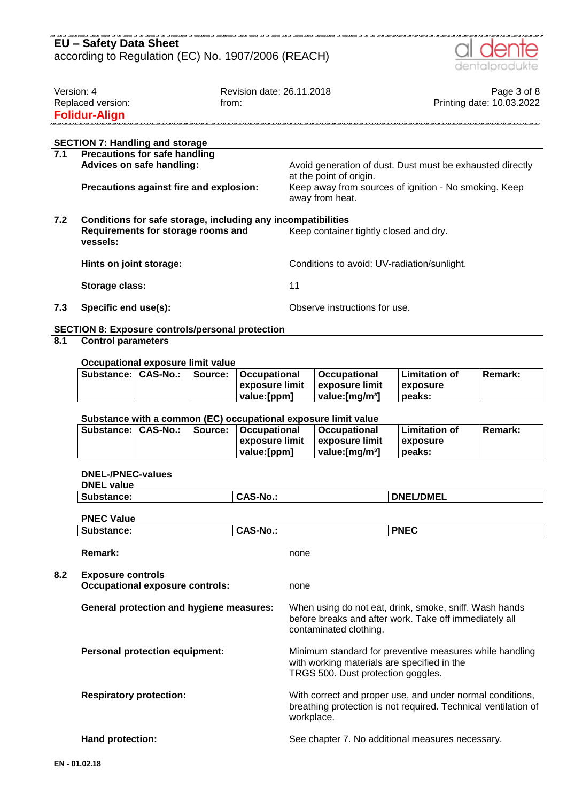

| Version: 4           | Revision date: 26.11.2018 | Page 3 of 8               |
|----------------------|---------------------------|---------------------------|
| Replaced version:    | trom:                     | Printing date: 10.03.2022 |
| <b>Folidur-Align</b> |                           |                           |
|                      |                           |                           |

## **SECTION 7: Handling and storage**

| 7.1 | <b>Precautions for safe handling</b>                         |                                                                                      |  |  |  |
|-----|--------------------------------------------------------------|--------------------------------------------------------------------------------------|--|--|--|
|     | Advices on safe handling:                                    | Avoid generation of dust. Dust must be exhausted directly<br>at the point of origin. |  |  |  |
|     | Precautions against fire and explosion:                      | Keep away from sources of ignition - No smoking. Keep<br>away from heat.             |  |  |  |
| 7.2 | Conditions for safe storage, including any incompatibilities |                                                                                      |  |  |  |
|     | Requirements for storage rooms and<br>vessels:               | Keep container tightly closed and dry.                                               |  |  |  |
|     | Hints on joint storage:                                      | Conditions to avoid: UV-radiation/sunlight.                                          |  |  |  |
|     | Storage class:                                               | 11                                                                                   |  |  |  |
| 7.3 | Specific end use(s):                                         | Observe instructions for use.                                                        |  |  |  |

### **SECTION 8: Exposure controls/personal protection**

### **8.1 Control parameters**

#### **Occupational exposure limit value**

| Substance:   CAS-No.: |  | Source:   Occupational         | ∣Occupational                       | l Limitation of | <b>Remark:</b> |
|-----------------------|--|--------------------------------|-------------------------------------|-----------------|----------------|
|                       |  | exposure limit Lexposure limit |                                     | <b>exposure</b> |                |
|                       |  | value: [ppm]                   | $\vert$ value: [mg/m <sup>3</sup> ] | peaks:          |                |

#### **Substance with a common (EC) occupational exposure limit value**

| Substance:   CAS-No.: |  | Source:   Occupational | <b>∣Occupational</b>        | Limitation of    | <b>Remark:</b> |
|-----------------------|--|------------------------|-----------------------------|------------------|----------------|
|                       |  | l exposure limit       | ⊟exposure limit             | <b>Lexposure</b> |                |
|                       |  | value:[ppm]            | value: [mɑ/m <sup>3</sup> ] | peaks:           |                |

#### **DNEL-/PNEC-values**

| <b>DNEL value</b>                                                  |                 |                                                                                   |                                                                                                                             |
|--------------------------------------------------------------------|-----------------|-----------------------------------------------------------------------------------|-----------------------------------------------------------------------------------------------------------------------------|
| Substance:                                                         | <b>CAS-No.:</b> |                                                                                   | <b>DNEL/DMEL</b>                                                                                                            |
| <b>PNEC Value</b>                                                  |                 |                                                                                   |                                                                                                                             |
| Substance:                                                         | <b>CAS-No.:</b> |                                                                                   | <b>PNEC</b>                                                                                                                 |
| <b>Remark:</b>                                                     |                 | none                                                                              |                                                                                                                             |
| <b>Exposure controls</b><br><b>Occupational exposure controls:</b> |                 | none                                                                              |                                                                                                                             |
| <b>General protection and hygiene measures:</b>                    |                 | contaminated clothing.                                                            | When using do not eat, drink, smoke, sniff. Wash hands<br>before breaks and after work. Take off immediately all            |
| <b>Personal protection equipment:</b>                              |                 | with working materials are specified in the<br>TRGS 500. Dust protection goggles. | Minimum standard for preventive measures while handling                                                                     |
| <b>Respiratory protection:</b>                                     |                 | workplace.                                                                        | With correct and proper use, and under normal conditions,<br>breathing protection is not required. Technical ventilation of |
| Hand protection:                                                   |                 |                                                                                   | See chapter 7. No additional measures necessary.                                                                            |
| በ1 በ2 18                                                           |                 |                                                                                   |                                                                                                                             |

**8.2 Exposure controls**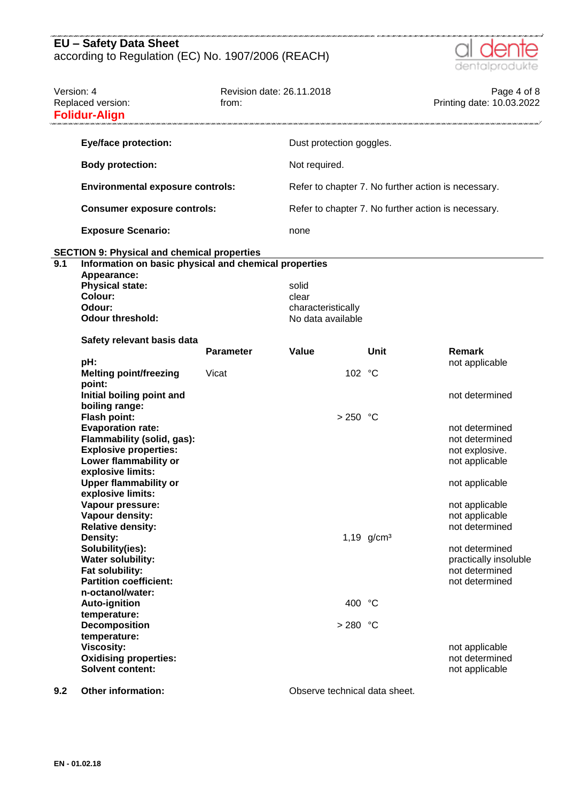

| Version: 4 | Replaced version:<br><b>Folidur-Align</b>                                                                                                                                                                                                                                                                                                      | Revision date: 26.11.2018<br>from: |                                                           |               | Page 4 of 8<br>Printing date: 10.03.2022                                                                                                                       |
|------------|------------------------------------------------------------------------------------------------------------------------------------------------------------------------------------------------------------------------------------------------------------------------------------------------------------------------------------------------|------------------------------------|-----------------------------------------------------------|---------------|----------------------------------------------------------------------------------------------------------------------------------------------------------------|
|            | <b>Eye/face protection:</b>                                                                                                                                                                                                                                                                                                                    |                                    | Dust protection goggles.                                  |               |                                                                                                                                                                |
|            | <b>Body protection:</b>                                                                                                                                                                                                                                                                                                                        |                                    | Not required.                                             |               |                                                                                                                                                                |
|            | <b>Environmental exposure controls:</b>                                                                                                                                                                                                                                                                                                        |                                    |                                                           |               | Refer to chapter 7. No further action is necessary.                                                                                                            |
|            | <b>Consumer exposure controls:</b>                                                                                                                                                                                                                                                                                                             |                                    |                                                           |               | Refer to chapter 7. No further action is necessary.                                                                                                            |
|            | <b>Exposure Scenario:</b>                                                                                                                                                                                                                                                                                                                      |                                    | none                                                      |               |                                                                                                                                                                |
|            | <b>SECTION 9: Physical and chemical properties</b>                                                                                                                                                                                                                                                                                             |                                    |                                                           |               |                                                                                                                                                                |
| 9.1        | Information on basic physical and chemical properties<br>Appearance:<br><b>Physical state:</b><br>Colour:<br>Odour:<br><b>Odour threshold:</b>                                                                                                                                                                                                 |                                    | solid<br>clear<br>characteristically<br>No data available |               |                                                                                                                                                                |
|            | Safety relevant basis data                                                                                                                                                                                                                                                                                                                     | <b>Parameter</b>                   | Value                                                     | Unit          | Remark                                                                                                                                                         |
|            | pH:<br><b>Melting point/freezing</b><br>point:                                                                                                                                                                                                                                                                                                 | Vicat                              |                                                           | 102 °C        | not applicable                                                                                                                                                 |
|            | Initial boiling point and<br>boiling range:<br><b>Flash point:</b><br><b>Evaporation rate:</b><br>Flammability (solid, gas):<br><b>Explosive properties:</b><br>Lower flammability or<br>explosive limits:<br><b>Upper flammability or</b><br>explosive limits:<br>Vapour pressure:<br>Vapour density:<br><b>Relative density:</b><br>Density: |                                    | $> 250$ °C                                                | 1,19 $g/cm^3$ | not determined<br>not determined<br>not determined<br>not explosive.<br>not applicable<br>not applicable<br>not applicable<br>not applicable<br>not determined |
|            | Solubility(ies):<br><b>Water solubility:</b><br>Fat solubility:<br><b>Partition coefficient:</b><br>n-octanol/water:                                                                                                                                                                                                                           |                                    |                                                           |               | not determined<br>practically insoluble<br>not determined<br>not determined                                                                                    |
|            | <b>Auto-ignition</b>                                                                                                                                                                                                                                                                                                                           |                                    |                                                           | 400 °C        |                                                                                                                                                                |
|            | temperature:<br><b>Decomposition</b><br>temperature:<br><b>Viscosity:</b>                                                                                                                                                                                                                                                                      |                                    | $> 280$ °C                                                |               | not applicable                                                                                                                                                 |
|            | <b>Oxidising properties:</b><br><b>Solvent content:</b>                                                                                                                                                                                                                                                                                        |                                    |                                                           |               | not determined<br>not applicable                                                                                                                               |

**9.2 Other information: Observe technical data sheet.**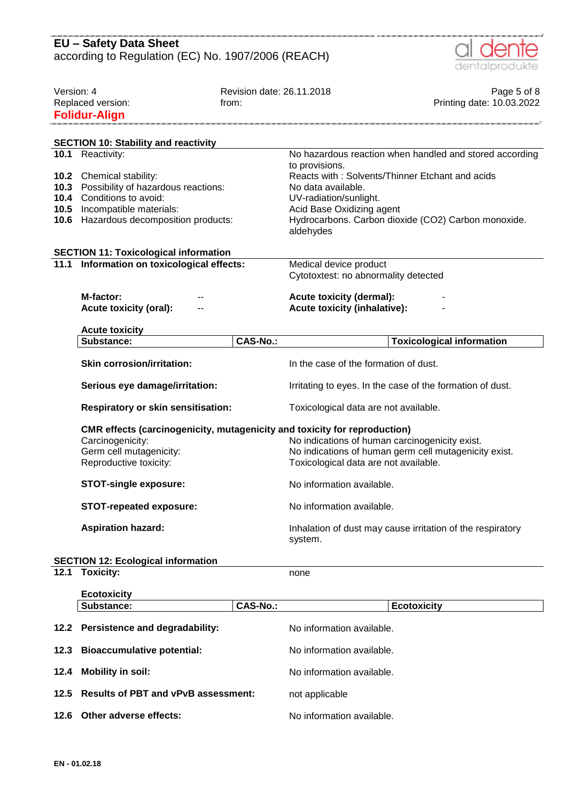|            | <b>EU - Safety Data Sheet</b>                                                              |                           |                                                                       |                                  |  |
|------------|--------------------------------------------------------------------------------------------|---------------------------|-----------------------------------------------------------------------|----------------------------------|--|
|            | according to Regulation (EC) No. 1907/2006 (REACH)                                         |                           |                                                                       |                                  |  |
|            |                                                                                            |                           |                                                                       | dentalprodukte                   |  |
| Version: 4 |                                                                                            | Revision date: 26.11.2018 |                                                                       | Page 5 of 8                      |  |
|            | Replaced version:                                                                          | from:                     |                                                                       | Printing date: 10.03.2022        |  |
|            | <b>Folidur-Align</b>                                                                       |                           |                                                                       |                                  |  |
|            |                                                                                            |                           |                                                                       |                                  |  |
|            | <b>SECTION 10: Stability and reactivity</b>                                                |                           |                                                                       |                                  |  |
|            | 10.1 Reactivity:                                                                           |                           | No hazardous reaction when handled and stored according               |                                  |  |
|            |                                                                                            |                           | to provisions.                                                        |                                  |  |
|            | 10.2 Chemical stability:                                                                   |                           | Reacts with: Solvents/Thinner Etchant and acids                       |                                  |  |
|            | 10.3 Possibility of hazardous reactions:<br><b>10.4</b> Conditions to avoid:               |                           | No data available.<br>UV-radiation/sunlight.                          |                                  |  |
| 10.5       | Incompatible materials:                                                                    |                           | Acid Base Oxidizing agent                                             |                                  |  |
|            | <b>10.6</b> Hazardous decomposition products:                                              |                           | Hydrocarbons. Carbon dioxide (CO2) Carbon monoxide.                   |                                  |  |
|            |                                                                                            |                           | aldehydes                                                             |                                  |  |
|            |                                                                                            |                           |                                                                       |                                  |  |
|            | <b>SECTION 11: Toxicological information</b><br>11.1 Information on toxicological effects: |                           | Medical device product                                                |                                  |  |
|            |                                                                                            |                           | Cytotoxtest: no abnormality detected                                  |                                  |  |
|            |                                                                                            |                           |                                                                       |                                  |  |
|            | M-factor:                                                                                  |                           | <b>Acute toxicity (dermal):</b>                                       |                                  |  |
|            | <b>Acute toxicity (oral):</b>                                                              |                           | <b>Acute toxicity (inhalative):</b>                                   |                                  |  |
|            | <b>Acute toxicity</b>                                                                      |                           |                                                                       |                                  |  |
|            | Substance:                                                                                 | <b>CAS-No.:</b>           |                                                                       | <b>Toxicological information</b> |  |
|            | <b>Skin corrosion/irritation:</b>                                                          |                           | In the case of the formation of dust.                                 |                                  |  |
|            |                                                                                            |                           |                                                                       |                                  |  |
|            | Serious eye damage/irritation:                                                             |                           | Irritating to eyes. In the case of the formation of dust.             |                                  |  |
|            | <b>Respiratory or skin sensitisation:</b>                                                  |                           | Toxicological data are not available.                                 |                                  |  |
|            | CMR effects (carcinogenicity, mutagenicity and toxicity for reproduction)                  |                           |                                                                       |                                  |  |
|            | Carcinogenicity:                                                                           |                           | No indications of human carcinogenicity exist.                        |                                  |  |
|            | Germ cell mutagenicity:                                                                    |                           | No indications of human germ cell mutagenicity exist.                 |                                  |  |
|            | Reproductive toxicity:                                                                     |                           | Toxicological data are not available.                                 |                                  |  |
|            | <b>STOT-single exposure:</b>                                                               |                           | No information available.                                             |                                  |  |
|            | <b>STOT-repeated exposure:</b>                                                             |                           | No information available.                                             |                                  |  |
|            | <b>Aspiration hazard:</b>                                                                  |                           | Inhalation of dust may cause irritation of the respiratory<br>system. |                                  |  |
|            | <b>SECTION 12: Ecological information</b>                                                  |                           |                                                                       |                                  |  |
| 12.1       | <b>Toxicity:</b>                                                                           |                           | none                                                                  |                                  |  |
|            |                                                                                            |                           |                                                                       |                                  |  |
|            | <b>Ecotoxicity</b><br>Substance:                                                           | <b>CAS-No.:</b>           | <b>Ecotoxicity</b>                                                    |                                  |  |
|            |                                                                                            |                           |                                                                       |                                  |  |
|            | 12.2 Persistence and degradability:                                                        |                           | No information available.                                             |                                  |  |
| 12.3       | <b>Bioaccumulative potential:</b>                                                          |                           | No information available.                                             |                                  |  |
| 12.4       | <b>Mobility in soil:</b>                                                                   |                           | No information available.                                             |                                  |  |
| 12.5       | <b>Results of PBT and vPvB assessment:</b>                                                 |                           | not applicable                                                        |                                  |  |

**12.6 Other adverse effects:** No information available.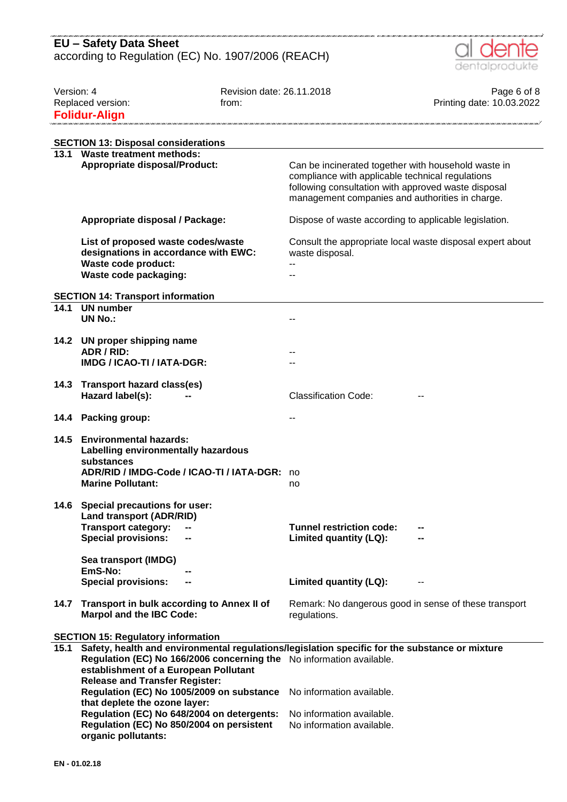

| Version: 4 |                                                                                                                                                                                                                                                          | Revision date: 26.11.2018 |                                                                                                                                                                                                                   | Page 6 of 8               |
|------------|----------------------------------------------------------------------------------------------------------------------------------------------------------------------------------------------------------------------------------------------------------|---------------------------|-------------------------------------------------------------------------------------------------------------------------------------------------------------------------------------------------------------------|---------------------------|
|            | Replaced version:                                                                                                                                                                                                                                        | from:                     |                                                                                                                                                                                                                   | Printing date: 10.03.2022 |
|            | <b>Folidur-Align</b>                                                                                                                                                                                                                                     |                           |                                                                                                                                                                                                                   |                           |
|            |                                                                                                                                                                                                                                                          |                           |                                                                                                                                                                                                                   |                           |
|            | <b>SECTION 13: Disposal considerations</b>                                                                                                                                                                                                               |                           |                                                                                                                                                                                                                   |                           |
| 13.1       | <b>Waste treatment methods:</b>                                                                                                                                                                                                                          |                           |                                                                                                                                                                                                                   |                           |
|            | <b>Appropriate disposal/Product:</b>                                                                                                                                                                                                                     |                           | Can be incinerated together with household waste in<br>compliance with applicable technical regulations<br>following consultation with approved waste disposal<br>management companies and authorities in charge. |                           |
|            | Appropriate disposal / Package:                                                                                                                                                                                                                          |                           | Dispose of waste according to applicable legislation.                                                                                                                                                             |                           |
|            | List of proposed waste codes/waste<br>designations in accordance with EWC:                                                                                                                                                                               |                           | Consult the appropriate local waste disposal expert about<br>waste disposal.                                                                                                                                      |                           |
|            | Waste code product:<br>Waste code packaging:                                                                                                                                                                                                             |                           |                                                                                                                                                                                                                   |                           |
|            | <b>SECTION 14: Transport information</b>                                                                                                                                                                                                                 |                           |                                                                                                                                                                                                                   |                           |
| 14.1       | <b>UN</b> number                                                                                                                                                                                                                                         |                           |                                                                                                                                                                                                                   |                           |
|            | <b>UN No.:</b>                                                                                                                                                                                                                                           |                           | $-$                                                                                                                                                                                                               |                           |
|            |                                                                                                                                                                                                                                                          |                           |                                                                                                                                                                                                                   |                           |
| 14.2       | UN proper shipping name                                                                                                                                                                                                                                  |                           |                                                                                                                                                                                                                   |                           |
|            | ADR / RID:                                                                                                                                                                                                                                               |                           |                                                                                                                                                                                                                   |                           |
|            | IMDG / ICAO-TI / IATA-DGR:                                                                                                                                                                                                                               |                           |                                                                                                                                                                                                                   |                           |
|            |                                                                                                                                                                                                                                                          |                           |                                                                                                                                                                                                                   |                           |
| 14.3       | <b>Transport hazard class(es)</b><br>Hazard label(s):                                                                                                                                                                                                    |                           | <b>Classification Code:</b>                                                                                                                                                                                       |                           |
| 14.4       | <b>Packing group:</b>                                                                                                                                                                                                                                    |                           |                                                                                                                                                                                                                   |                           |
| 14.5       | <b>Environmental hazards:</b><br>Labelling environmentally hazardous<br>substances<br>ADR/RID / IMDG-Code / ICAO-TI / IATA-DGR:<br><b>Marine Pollutant:</b>                                                                                              |                           | no<br>no                                                                                                                                                                                                          |                           |
|            | 14.6 Special precautions for user:<br><b>Land transport (ADR/RID)</b><br><b>Transport category:</b><br><b>Special provisions:</b>                                                                                                                        |                           | <b>Tunnel restriction code:</b><br>Limited quantity (LQ):                                                                                                                                                         |                           |
|            | Sea transport (IMDG)<br>EmS-No:<br><b>Special provisions:</b>                                                                                                                                                                                            |                           | Limited quantity (LQ):                                                                                                                                                                                            |                           |
| 14.7       | Transport in bulk according to Annex II of<br><b>Marpol and the IBC Code:</b>                                                                                                                                                                            |                           | Remark: No dangerous good in sense of these transport<br>regulations.                                                                                                                                             |                           |
|            | <b>SECTION 15: Regulatory information</b>                                                                                                                                                                                                                |                           |                                                                                                                                                                                                                   |                           |
| 15.1       | Safety, health and environmental regulations/legislation specific for the substance or mixture<br>Regulation (EC) No 166/2006 concerning the No information available.<br>establishment of a European Pollutant<br><b>Release and Transfer Register:</b> |                           |                                                                                                                                                                                                                   |                           |
|            | Regulation (EC) No 1005/2009 on substance<br>that deplete the ozone layer:                                                                                                                                                                               |                           | No information available.                                                                                                                                                                                         |                           |
|            | Regulation (EC) No 648/2004 on detergents:                                                                                                                                                                                                               |                           | No information available.                                                                                                                                                                                         |                           |
|            | Regulation (EC) No 850/2004 on persistent<br>organic pollutants:                                                                                                                                                                                         |                           | No information available.                                                                                                                                                                                         |                           |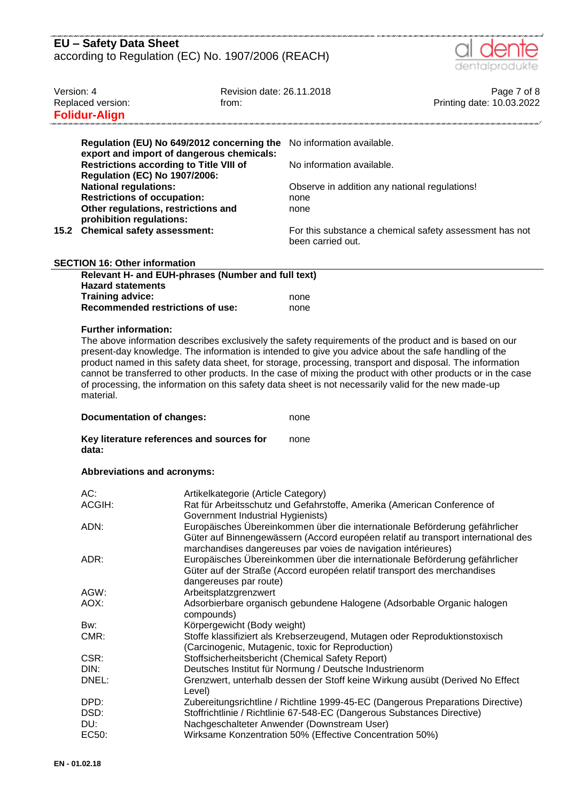| EU - Safety Data Sheet                             |  |
|----------------------------------------------------|--|
| according to Regulation (EC) No. 1907/2006 (REACH) |  |



| Version: 4                           | Replaced version:<br><b>Folidur-Align</b>                                                                                                                                                                                                                                                                                                                                                                                                                                                                                                                                                                                                     | Revision date: 26.11.2018<br>from:                                                                                                                                                                                                                                                                                                                                                       |                                                                              | Page 7 of 8<br>Printing date: 10.03.2022 |  |  |
|--------------------------------------|-----------------------------------------------------------------------------------------------------------------------------------------------------------------------------------------------------------------------------------------------------------------------------------------------------------------------------------------------------------------------------------------------------------------------------------------------------------------------------------------------------------------------------------------------------------------------------------------------------------------------------------------------|------------------------------------------------------------------------------------------------------------------------------------------------------------------------------------------------------------------------------------------------------------------------------------------------------------------------------------------------------------------------------------------|------------------------------------------------------------------------------|------------------------------------------|--|--|
|                                      | Regulation (EU) No 649/2012 concerning the<br>export and import of dangerous chemicals:                                                                                                                                                                                                                                                                                                                                                                                                                                                                                                                                                       |                                                                                                                                                                                                                                                                                                                                                                                          | No information available.                                                    |                                          |  |  |
|                                      | <b>Restrictions according to Title VIII of</b><br><b>Regulation (EC) No 1907/2006:</b>                                                                                                                                                                                                                                                                                                                                                                                                                                                                                                                                                        |                                                                                                                                                                                                                                                                                                                                                                                          | No information available.                                                    |                                          |  |  |
|                                      | <b>National regulations:</b><br><b>Restrictions of occupation:</b><br>Other regulations, restrictions and<br>prohibition regulations:                                                                                                                                                                                                                                                                                                                                                                                                                                                                                                         |                                                                                                                                                                                                                                                                                                                                                                                          | Observe in addition any national regulations!<br>none<br>none                |                                          |  |  |
| 15.2                                 | <b>Chemical safety assessment:</b>                                                                                                                                                                                                                                                                                                                                                                                                                                                                                                                                                                                                            |                                                                                                                                                                                                                                                                                                                                                                                          | For this substance a chemical safety assessment has not<br>been carried out. |                                          |  |  |
| <b>SECTION 16: Other information</b> |                                                                                                                                                                                                                                                                                                                                                                                                                                                                                                                                                                                                                                               |                                                                                                                                                                                                                                                                                                                                                                                          |                                                                              |                                          |  |  |
|                                      | Relevant H- and EUH-phrases (Number and full text)<br><b>Hazard statements</b>                                                                                                                                                                                                                                                                                                                                                                                                                                                                                                                                                                |                                                                                                                                                                                                                                                                                                                                                                                          |                                                                              |                                          |  |  |
|                                      | <b>Training advice:</b><br><b>Recommended restrictions of use:</b>                                                                                                                                                                                                                                                                                                                                                                                                                                                                                                                                                                            |                                                                                                                                                                                                                                                                                                                                                                                          | none<br>none                                                                 |                                          |  |  |
|                                      | <b>Further information:</b><br>The above information describes exclusively the safety requirements of the product and is based on our<br>present-day knowledge. The information is intended to give you advice about the safe handling of the<br>product named in this safety data sheet, for storage, processing, transport and disposal. The information<br>cannot be transferred to other products. In the case of mixing the product with other products or in the case<br>of processing, the information on this safety data sheet is not necessarily valid for the new made-up<br>material.<br><b>Documentation of changes:</b><br>none |                                                                                                                                                                                                                                                                                                                                                                                          |                                                                              |                                          |  |  |
|                                      | Key literature references and sources for<br>none<br>data:                                                                                                                                                                                                                                                                                                                                                                                                                                                                                                                                                                                    |                                                                                                                                                                                                                                                                                                                                                                                          |                                                                              |                                          |  |  |
|                                      | Abbreviations and acronyms:                                                                                                                                                                                                                                                                                                                                                                                                                                                                                                                                                                                                                   |                                                                                                                                                                                                                                                                                                                                                                                          |                                                                              |                                          |  |  |
|                                      | AC:                                                                                                                                                                                                                                                                                                                                                                                                                                                                                                                                                                                                                                           | Artikelkategorie (Article Category)<br>Rat für Arbeitsschutz und Gefahrstoffe, Amerika (American Conference of<br>Government Industrial Hygienists)<br>Europäisches Übereinkommen über die internationale Beförderung gefährlicher<br>Güter auf Binnengewässern (Accord européen relatif au transport international des<br>marchandises dangereuses par voies de navigation intérieures) |                                                                              |                                          |  |  |
|                                      | ACGIH:                                                                                                                                                                                                                                                                                                                                                                                                                                                                                                                                                                                                                                        |                                                                                                                                                                                                                                                                                                                                                                                          |                                                                              |                                          |  |  |
|                                      | ADN:                                                                                                                                                                                                                                                                                                                                                                                                                                                                                                                                                                                                                                          |                                                                                                                                                                                                                                                                                                                                                                                          |                                                                              |                                          |  |  |
|                                      | ADR:                                                                                                                                                                                                                                                                                                                                                                                                                                                                                                                                                                                                                                          | Europäisches Übereinkommen über die internationale Beförderung gefährlicher<br>Güter auf der Straße (Accord européen relatif transport des merchandises<br>dangereuses par route)                                                                                                                                                                                                        |                                                                              |                                          |  |  |
|                                      | AGW:                                                                                                                                                                                                                                                                                                                                                                                                                                                                                                                                                                                                                                          | Arbeitsplatzgrenzwert                                                                                                                                                                                                                                                                                                                                                                    |                                                                              |                                          |  |  |
|                                      | AOX:                                                                                                                                                                                                                                                                                                                                                                                                                                                                                                                                                                                                                                          | Adsorbierbare organisch gebundene Halogene (Adsorbable Organic halogen<br>compounds)                                                                                                                                                                                                                                                                                                     |                                                                              |                                          |  |  |
|                                      | Bw:<br>CMR:                                                                                                                                                                                                                                                                                                                                                                                                                                                                                                                                                                                                                                   | Körpergewicht (Body weight)<br>Stoffe klassifiziert als Krebserzeugend, Mutagen oder Reproduktionstoxisch<br>(Carcinogenic, Mutagenic, toxic for Reproduction)                                                                                                                                                                                                                           |                                                                              |                                          |  |  |
|                                      | CSR:                                                                                                                                                                                                                                                                                                                                                                                                                                                                                                                                                                                                                                          | Stoffsicherheitsbericht (Chemical Safety Report)                                                                                                                                                                                                                                                                                                                                         |                                                                              |                                          |  |  |
|                                      | DIN:<br>Deutsches Institut für Normung / Deutsche Industrienorm                                                                                                                                                                                                                                                                                                                                                                                                                                                                                                                                                                               |                                                                                                                                                                                                                                                                                                                                                                                          |                                                                              |                                          |  |  |
|                                      | DNEL:<br>Grenzwert, unterhalb dessen der Stoff keine Wirkung ausübt (Derived No Effect<br>Level)                                                                                                                                                                                                                                                                                                                                                                                                                                                                                                                                              |                                                                                                                                                                                                                                                                                                                                                                                          |                                                                              |                                          |  |  |